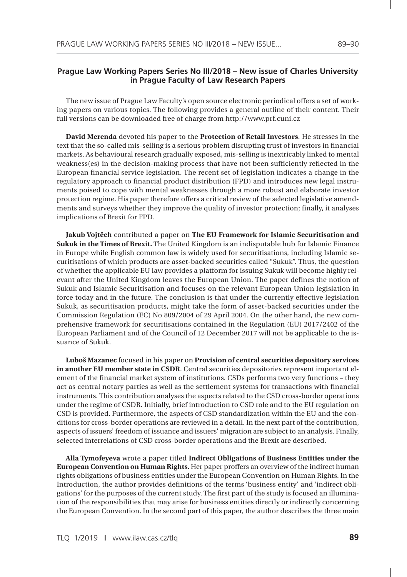## **Prague Law Working Papers Series No III/2018 – New issue of Charles University in Prague Faculty of Law Research Papers**

The new issue of Prague Law Faculty's open source electronic periodical offers a set of working papers on various topics. The following provides a general outline of their content. Their full versions can be downloaded free of charge from http://www.prf.cuni.cz

**David Merenda** devoted his paper to the **Protection of Retail Investors**. He stresses in the text that the so-called mis-selling is a serious problem disrupting trust of investors in financial markets. As behavioural research gradually exposed, mis-selling is inextricably linked to mental weakness(es) in the decision-making process that have not been sufficiently reflected in the European financial service legislation. The recent set of legislation indicates a change in the regulatory approach to financial product distribution (FPD) and introduces new legal instruments poised to cope with mental weaknesses through a more robust and elaborate investor protection regime. His paper therefore offers a critical review of the selected legislative amendments and surveys whether they improve the quality of investor protection; finally, it analyses implications of Brexit for FPD.

**Jakub Vojtěch** contributed a paper on **The EU Framework for Islamic Securitisation and Sukuk in the Times of Brexit.** The United Kingdom is an indisputable hub for Islamic Finance in Europe while English common law is widely used for securitisations, including Islamic securitisations of which products are asset-backed securities called "Sukuk". Thus, the question of whether the applicable EU law provides a platform for issuing Sukuk will become highly relevant after the United Kingdom leaves the European Union. The paper defines the notion of Sukuk and Islamic Securitisation and focuses on the relevant European Union legislation in force today and in the future. The conclusion is that under the currently effective legislation Sukuk, as securitisation products, might take the form of asset-backed securities under the Commission Regulation (EC) No 809/2004 of 29 April 2004. On the other hand, the new comprehensive framework for securitisations contained in the Regulation (EU) 2017/2402 of the European Parliament and of the Council of 12 December 2017 will not be applicable to the issuance of Sukuk.

**Luboš Mazanec** focused in his paper on **Provision of central securities depository services in another EU member state in CSDR**. Central securities depositories represent important element of the financial market system of institutions. CSDs performs two very functions – they act as central notary parties as well as the settlement systems for transactions with financial instruments. This contribution analyses the aspects related to the CSD cross-border operations under the regime of CSDR. Initially, brief introduction to CSD role and to the EU regulation on CSD is provided. Furthermore, the aspects of CSD standardization within the EU and the conditions for cross-border operations are reviewed in a detail. In the next part of the contribution, aspects of issuers' freedom of issuance and issuers' migration are subject to an analysis. Finally, selected interrelations of CSD cross-border operations and the Brexit are described.

**Alla Tymofeyeva** wrote a paper titled **Indirect Obligations of Business Entities under the European Convention on Human Rights.** Her paper proffers an overview of the indirect human rights obligations of business entities under the European Convention on Human Rights. In the Introduction, the author provides definitions of the terms 'business entity' and 'indirect obligations' for the purposes of the current study. The first part of the study is focused an illumination of the responsibilities that may arise for business entities directly or indirectly concerning the European Convention. In the second part of this paper, the author describes the three main